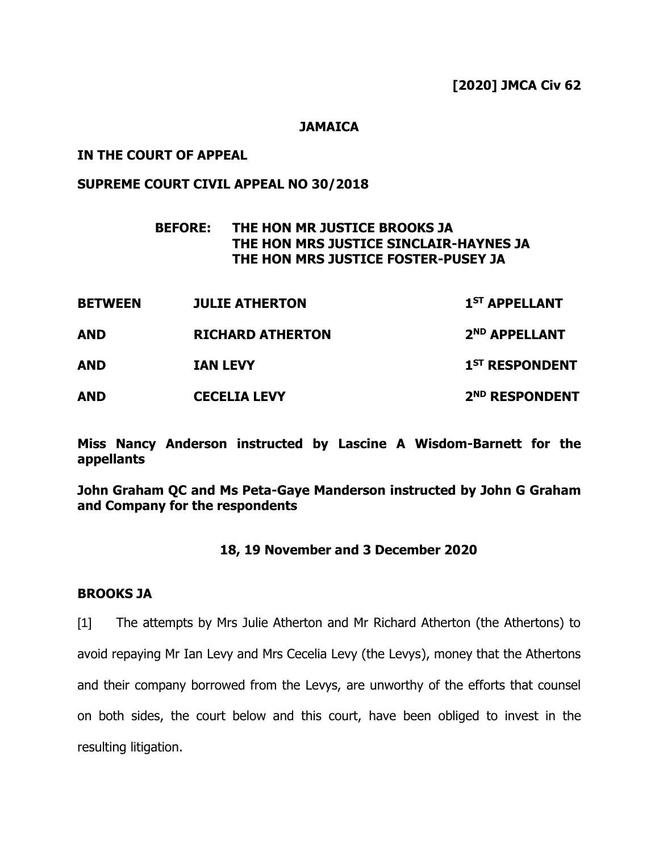### **JAMAICA**

## **IN THE COURT OF APPEAL**

## **SUPREME COURT CIVIL APPEAL NO 30/2018**

# **BEFORE: THE HON MR JUSTICE BROOKS JA THE HON MRS JUSTICE SINCLAIR-HAYNES JA THE HON MRS JUSTICE FOSTER-PUSEY JA**

| <b>BETWEEN</b><br><b>AND</b><br><b>AND</b> | <b>JULIE ATHERTON</b>                      | 1 <sup>ST</sup> APPELLANT                               |
|--------------------------------------------|--------------------------------------------|---------------------------------------------------------|
|                                            | <b>RICHARD ATHERTON</b><br><b>IAN LEVY</b> | 2 <sup>ND</sup> APPELLANT<br>1 <sup>ST</sup> RESPONDENT |
|                                            |                                            |                                                         |

**Miss Nancy Anderson instructed by Lascine A Wisdom-Barnett for the appellants**

**John Graham QC and Ms Peta-Gaye Manderson instructed by John G Graham and Company for the respondents**

### **18, 19 November and 3 December 2020**

### **BROOKS JA**

[1] The attempts by Mrs Julie Atherton and Mr Richard Atherton (the Athertons) to avoid repaying Mr Ian Levy and Mrs Cecelia Levy (the Levys), money that the Athertons and their company borrowed from the Levys, are unworthy of the efforts that counsel on both sides, the court below and this court, have been obliged to invest in the resulting litigation.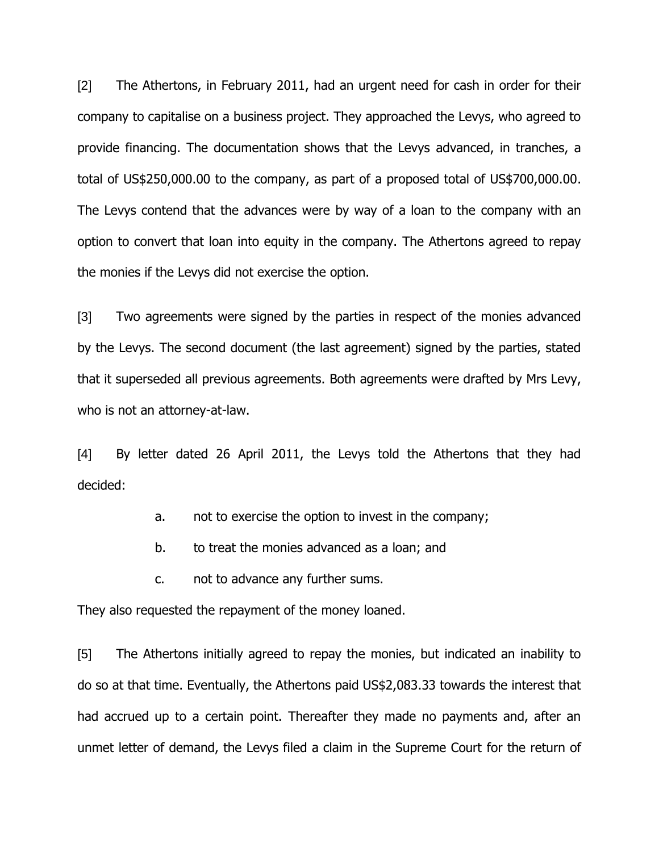[2] The Athertons, in February 2011, had an urgent need for cash in order for their company to capitalise on a business project. They approached the Levys, who agreed to provide financing. The documentation shows that the Levys advanced, in tranches, a total of US\$250,000.00 to the company, as part of a proposed total of US\$700,000.00. The Levys contend that the advances were by way of a loan to the company with an option to convert that loan into equity in the company. The Athertons agreed to repay the monies if the Levys did not exercise the option.

[3] Two agreements were signed by the parties in respect of the monies advanced by the Levys. The second document (the last agreement) signed by the parties, stated that it superseded all previous agreements. Both agreements were drafted by Mrs Levy, who is not an attorney-at-law.

[4] By letter dated 26 April 2011, the Levys told the Athertons that they had decided:

- a. not to exercise the option to invest in the company;
- b. to treat the monies advanced as a loan; and
- c. not to advance any further sums.

They also requested the repayment of the money loaned.

[5] The Athertons initially agreed to repay the monies, but indicated an inability to do so at that time. Eventually, the Athertons paid US\$2,083.33 towards the interest that had accrued up to a certain point. Thereafter they made no payments and, after an unmet letter of demand, the Levys filed a claim in the Supreme Court for the return of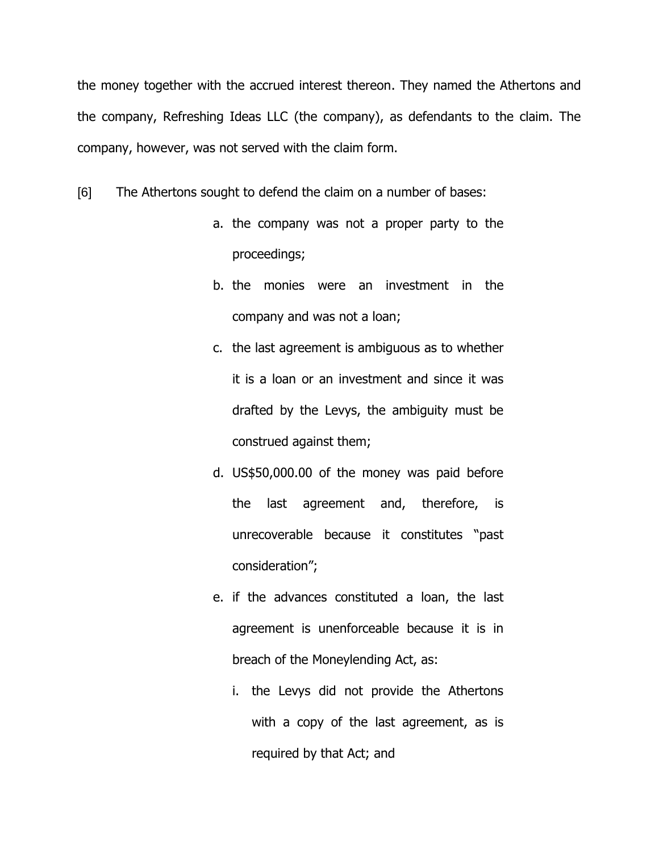the money together with the accrued interest thereon. They named the Athertons and the company, Refreshing Ideas LLC (the company), as defendants to the claim. The company, however, was not served with the claim form.

[6] The Athertons sought to defend the claim on a number of bases:

- a. the company was not a proper party to the proceedings;
- b. the monies were an investment in the company and was not a loan;
- c. the last agreement is ambiguous as to whether it is a loan or an investment and since it was drafted by the Levys, the ambiguity must be construed against them;
- d. US\$50,000.00 of the money was paid before the last agreement and, therefore, is unrecoverable because it constitutes "past consideration";
- e. if the advances constituted a loan, the last agreement is unenforceable because it is in breach of the Moneylending Act, as:
	- i. the Levys did not provide the Athertons with a copy of the last agreement, as is required by that Act; and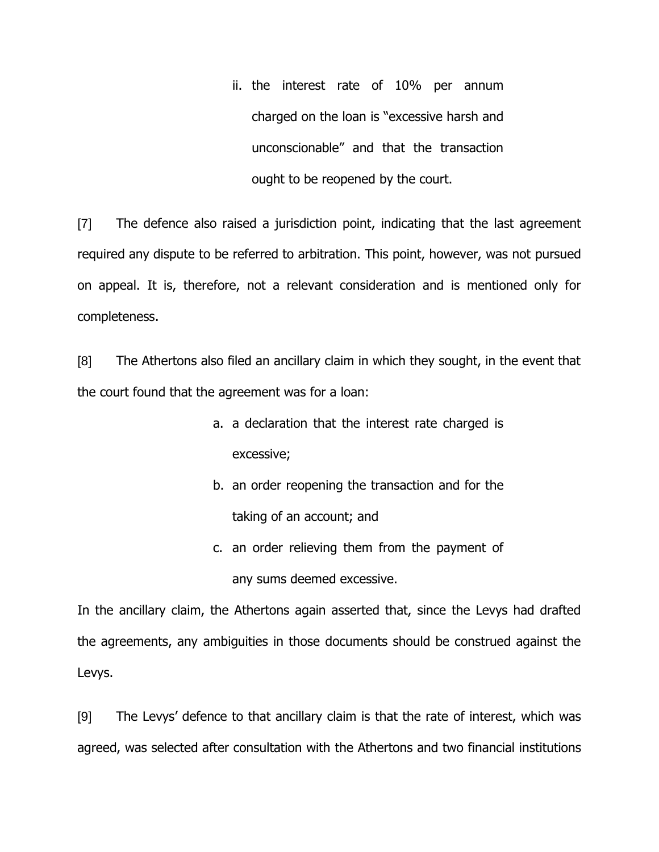ii. the interest rate of 10% per annum charged on the loan is "excessive harsh and unconscionable" and that the transaction ought to be reopened by the court.

[7] The defence also raised a jurisdiction point, indicating that the last agreement required any dispute to be referred to arbitration. This point, however, was not pursued on appeal. It is, therefore, not a relevant consideration and is mentioned only for completeness.

[8] The Athertons also filed an ancillary claim in which they sought, in the event that the court found that the agreement was for a loan:

- a. a declaration that the interest rate charged is excessive;
- b. an order reopening the transaction and for the taking of an account; and
- c. an order relieving them from the payment of any sums deemed excessive.

In the ancillary claim, the Athertons again asserted that, since the Levys had drafted the agreements, any ambiguities in those documents should be construed against the Levys.

[9] The Levys' defence to that ancillary claim is that the rate of interest, which was agreed, was selected after consultation with the Athertons and two financial institutions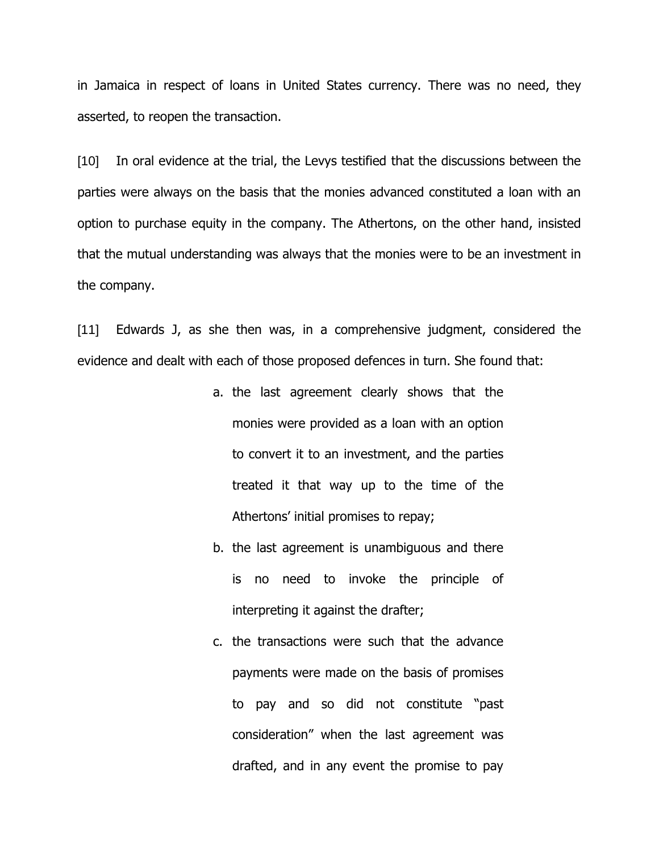in Jamaica in respect of loans in United States currency. There was no need, they asserted, to reopen the transaction.

[10] In oral evidence at the trial, the Levys testified that the discussions between the parties were always on the basis that the monies advanced constituted a loan with an option to purchase equity in the company. The Athertons, on the other hand, insisted that the mutual understanding was always that the monies were to be an investment in the company.

[11] Edwards J, as she then was, in a comprehensive judgment, considered the evidence and dealt with each of those proposed defences in turn. She found that:

- a. the last agreement clearly shows that the monies were provided as a loan with an option to convert it to an investment, and the parties treated it that way up to the time of the Athertons' initial promises to repay;
- b. the last agreement is unambiguous and there is no need to invoke the principle of interpreting it against the drafter;
- c. the transactions were such that the advance payments were made on the basis of promises to pay and so did not constitute "past consideration" when the last agreement was drafted, and in any event the promise to pay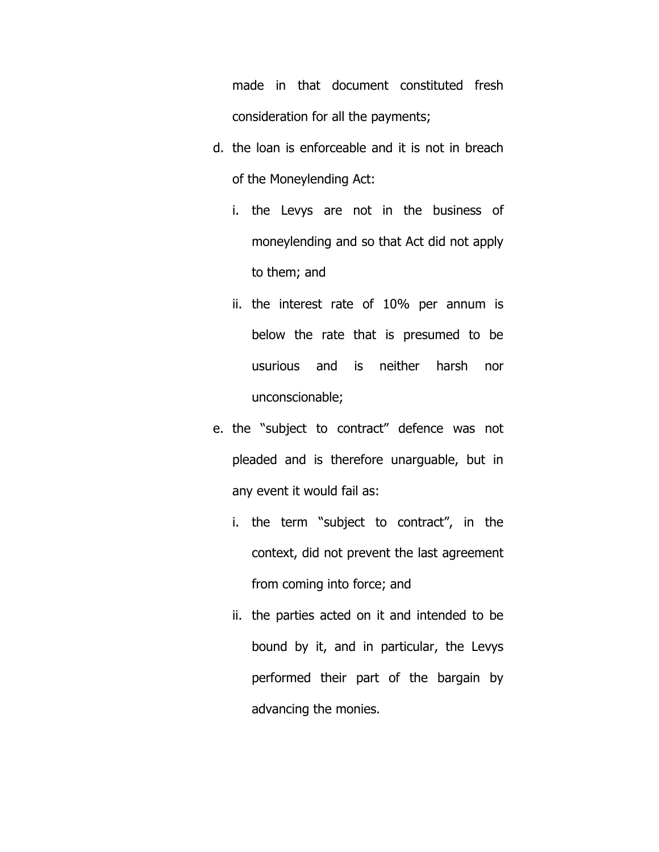made in that document constituted fresh consideration for all the payments;

- d. the loan is enforceable and it is not in breach of the Moneylending Act:
	- i. the Levys are not in the business of moneylending and so that Act did not apply to them; and
	- ii. the interest rate of 10% per annum is below the rate that is presumed to be usurious and is neither harsh nor unconscionable;
- e. the "subject to contract" defence was not pleaded and is therefore unarguable, but in any event it would fail as:
	- i. the term "subject to contract", in the context, did not prevent the last agreement from coming into force; and
	- ii. the parties acted on it and intended to be bound by it, and in particular, the Levys performed their part of the bargain by advancing the monies.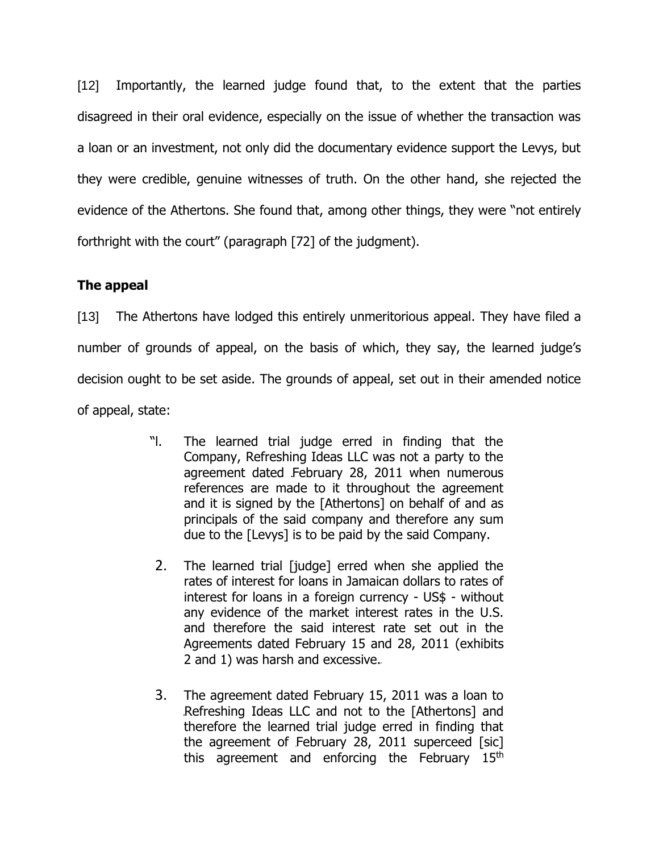[12] Importantly, the learned judge found that, to the extent that the parties disagreed in their oral evidence, especially on the issue of whether the transaction was a loan or an investment, not only did the documentary evidence support the Levys, but they were credible, genuine witnesses of truth. On the other hand, she rejected the evidence of the Athertons. She found that, among other things, they were "not entirely forthright with the court" (paragraph [72] of the judgment).

# **The appeal**

[13] The Athertons have lodged this entirely unmeritorious appeal. They have filed a number of grounds of appeal, on the basis of which, they say, the learned judge's decision ought to be set aside. The grounds of appeal, set out in their amended notice of appeal, state:

- "l. The learned trial judge erred in finding that the Company, Refreshing Ideas LLC was not a party to the agreement dated February 28, 2011 when numerous references are made to it throughout the agreement and it is signed by the [Athertons] on behalf of and as principals of the said company and therefore any sum due to the [Levys] is to be paid by the said Company.
- 2. The learned trial [judge] erred when she applied the rates of interest for loans in Jamaican dollars to rates of interest for loans in a foreign currency - US\$ - without any evidence of the market interest rates in the U.S. and therefore the said interest rate set out in the Agreements dated February 15 and 28, 2011 (exhibits 2 and 1) was harsh and excessive.
- 3. The agreement dated February 15, 2011 was a loan to Refreshing Ideas LLC and not to the [Athertons] and therefore the learned trial judge erred in finding that the agreement of February 28, 2011 superceed [sic] this agreement and enforcing the February 15<sup>th</sup>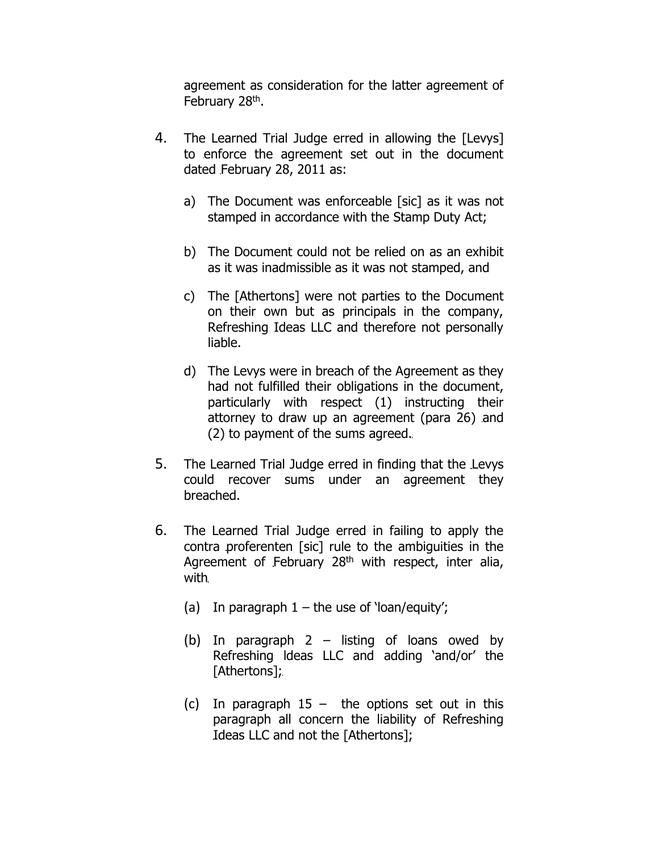agreement as consideration for the latter agreement of February 28<sup>th</sup>.

- 4. The Learned Trial Judge erred in allowing the [Levys] to enforce the agreement set out in the document dated February 28, 2011 as:
	- a) The Document was enforceable [sic] as it was not stamped in accordance with the Stamp Duty Act;
	- b) The Document could not be relied on as an exhibit as it was inadmissible as it was not stamped, and
	- c) The [Athertons] were not parties to the Document on their own but as principals in the company, Refreshing Ideas LLC and therefore not personally liable.
	- d) The Levys were in breach of the Agreement as they had not fulfilled their obligations in the document, particularly with respect (1) instructing their attorney to draw up an agreement (para 26) and (2) to payment of the sums agreed.
- 5. The Learned Trial Judge erred in finding that the Levys could recover sums under an agreement they breached.
- 6. The Learned Trial Judge erred in failing to apply the contra proferenten [sic] rule to the ambiguities in the Agreement of February  $28<sup>th</sup>$  with respect, inter alia, with
	- (a) In paragraph  $1 -$  the use of 'loan/equity';
	- (b) In paragraph 2 listing of loans owed by Refreshing ldeas LLC and adding 'and/or' the [Athertons];
	- (c) In paragraph  $15 -$  the options set out in this paragraph all concern the liability of Refreshing Ideas LLC and not the [Athertons];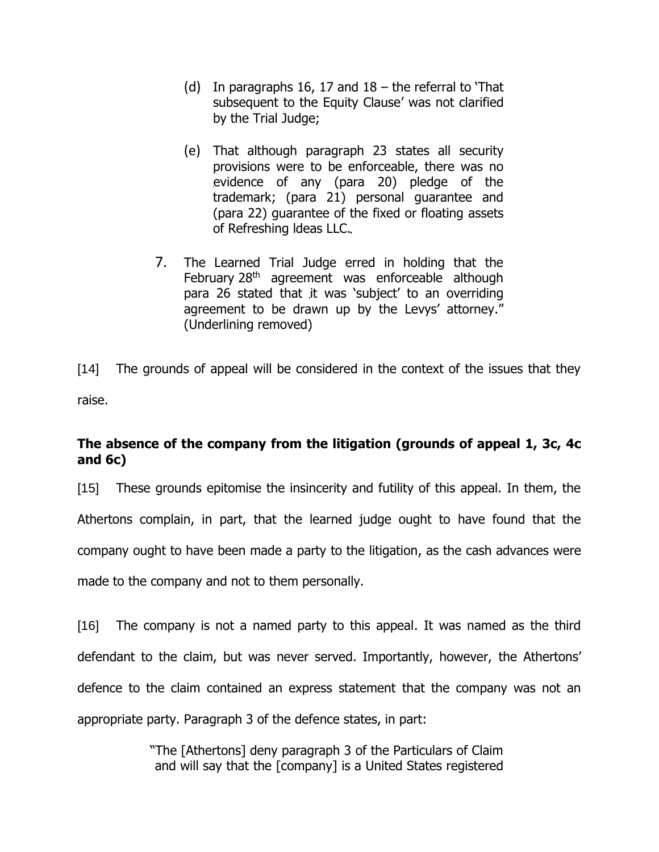- (d) In paragraphs 16, 17 and  $18$  the referral to That subsequent to the Equity Clause' was not clarified by the Trial Judge;
- (e) That although paragraph 23 states all security provisions were to be enforceable, there was no evidence of any (para 20) pledge of the trademark; (para 21) personal guarantee and (para 22) guarantee of the fixed or floating assets of Refreshing ldeas LLC.
- 7. The Learned Trial Judge erred in holding that the February 28<sup>th</sup> agreement was enforceable although para 26 stated that it was 'subject' to an overriding agreement to be drawn up by the Levys' attorney." (Underlining removed)

[14] The grounds of appeal will be considered in the context of the issues that they raise.

# **The absence of the company from the litigation (grounds of appeal 1, 3c, 4c and 6c)**

[15] These grounds epitomise the insincerity and futility of this appeal. In them, the Athertons complain, in part, that the learned judge ought to have found that the company ought to have been made a party to the litigation, as the cash advances were made to the company and not to them personally.

[16] The company is not a named party to this appeal. It was named as the third defendant to the claim, but was never served. Importantly, however, the Athertons' defence to the claim contained an express statement that the company was not an appropriate party. Paragraph 3 of the defence states, in part:

> "The [Athertons] deny paragraph 3 of the Particulars of Claim and will say that the [company] is a United States registered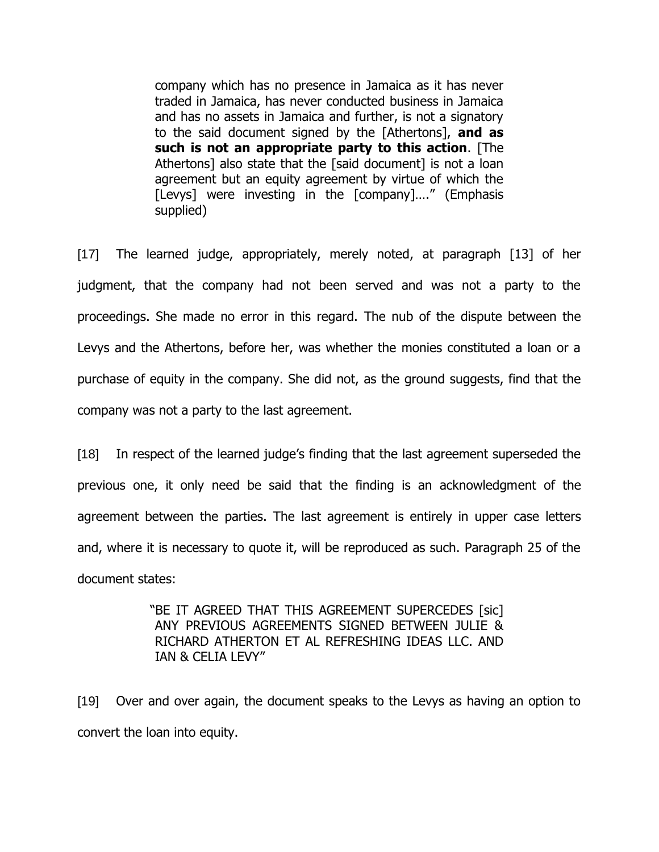company which has no presence in Jamaica as it has never traded in Jamaica, has never conducted business in Jamaica and has no assets in Jamaica and further, is not a signatory to the said document signed by the [Athertons], **and as such is not an appropriate party to this action**. [The Athertons] also state that the [said document] is not a loan agreement but an equity agreement by virtue of which the [Levys] were investing in the [company]...." (Emphasis supplied)

[17] The learned judge, appropriately, merely noted, at paragraph [13] of her judgment, that the company had not been served and was not a party to the proceedings. She made no error in this regard. The nub of the dispute between the Levys and the Athertons, before her, was whether the monies constituted a loan or a purchase of equity in the company. She did not, as the ground suggests, find that the company was not a party to the last agreement.

[18] In respect of the learned judge's finding that the last agreement superseded the previous one, it only need be said that the finding is an acknowledgment of the agreement between the parties. The last agreement is entirely in upper case letters and, where it is necessary to quote it, will be reproduced as such. Paragraph 25 of the document states:

> "BE IT AGREED THAT THIS AGREEMENT SUPERCEDES [sic] ANY PREVIOUS AGREEMENTS SIGNED BETWEEN JULIE & RICHARD ATHERTON ET AL REFRESHING IDEAS LLC. AND IAN & CELIA LEVY"

[19] Over and over again, the document speaks to the Levys as having an option to convert the loan into equity.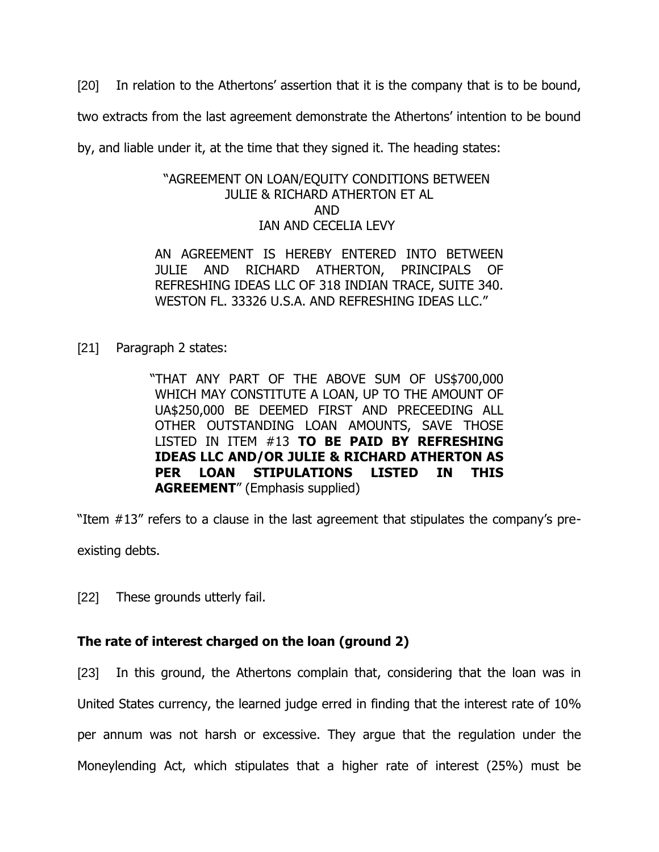[20] In relation to the Athertons' assertion that it is the company that is to be bound,

two extracts from the last agreement demonstrate the Athertons' intention to be bound

by, and liable under it, at the time that they signed it. The heading states:

### "AGREEMENT ON LOAN/EQUITY CONDITIONS BETWEEN JULIE & RICHARD ATHERTON ET AL AND IAN AND CECELIA LEVY

AN AGREEMENT IS HEREBY ENTERED INTO BETWEEN JULIE AND RICHARD ATHERTON, PRINCIPALS OF REFRESHING IDEAS LLC OF 318 INDIAN TRACE, SUITE 340. WESTON FL. 33326 U.S.A. AND REFRESHING IDEAS LLC."

[21] Paragraph 2 states:

"THAT ANY PART OF THE ABOVE SUM OF US\$700,000 WHICH MAY CONSTITUTE A LOAN, UP TO THE AMOUNT OF UA\$250,000 BE DEEMED FIRST AND PRECEEDING ALL OTHER OUTSTANDING LOAN AMOUNTS, SAVE THOSE LISTED IN ITEM #13 **TO BE PAID BY REFRESHING IDEAS LLC AND/OR JULIE & RICHARD ATHERTON AS PER LOAN STIPULATIONS LISTED IN THIS AGREEMENT**" (Emphasis supplied)

"Item #13" refers to a clause in the last agreement that stipulates the company's preexisting debts.

[22] These grounds utterly fail.

## **The rate of interest charged on the loan (ground 2)**

[23] In this ground, the Athertons complain that, considering that the loan was in United States currency, the learned judge erred in finding that the interest rate of 10% per annum was not harsh or excessive. They argue that the regulation under the Moneylending Act, which stipulates that a higher rate of interest (25%) must be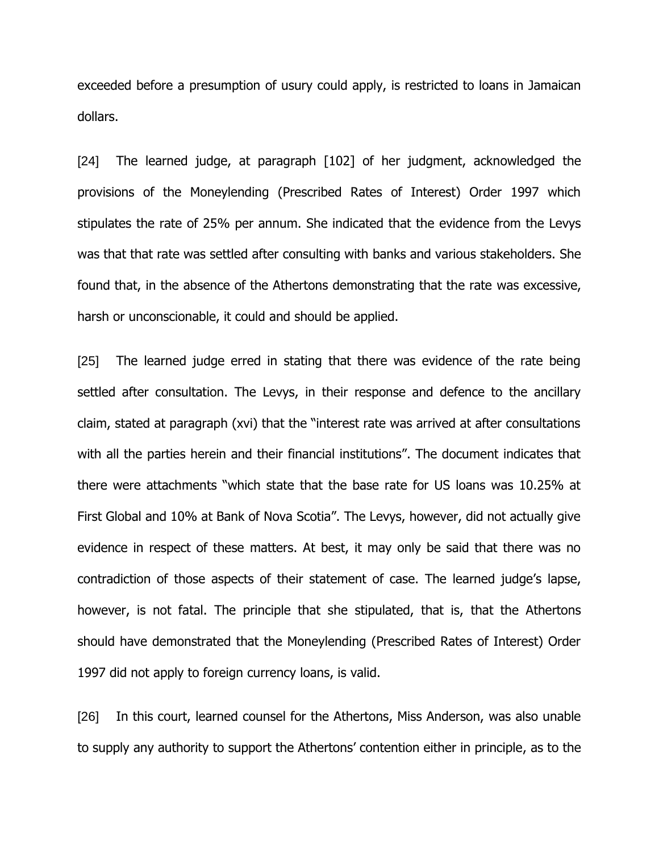exceeded before a presumption of usury could apply, is restricted to loans in Jamaican dollars.

[24] The learned judge, at paragraph [102] of her judgment, acknowledged the provisions of the Moneylending (Prescribed Rates of Interest) Order 1997 which stipulates the rate of 25% per annum. She indicated that the evidence from the Levys was that that rate was settled after consulting with banks and various stakeholders. She found that, in the absence of the Athertons demonstrating that the rate was excessive, harsh or unconscionable, it could and should be applied.

[25] The learned judge erred in stating that there was evidence of the rate being settled after consultation. The Levys, in their response and defence to the ancillary claim, stated at paragraph (xvi) that the "interest rate was arrived at after consultations with all the parties herein and their financial institutions". The document indicates that there were attachments "which state that the base rate for US loans was 10.25% at First Global and 10% at Bank of Nova Scotia". The Levys, however, did not actually give evidence in respect of these matters. At best, it may only be said that there was no contradiction of those aspects of their statement of case. The learned judge's lapse, however, is not fatal. The principle that she stipulated, that is, that the Athertons should have demonstrated that the Moneylending (Prescribed Rates of Interest) Order 1997 did not apply to foreign currency loans, is valid.

[26] In this court, learned counsel for the Athertons, Miss Anderson, was also unable to supply any authority to support the Athertons' contention either in principle, as to the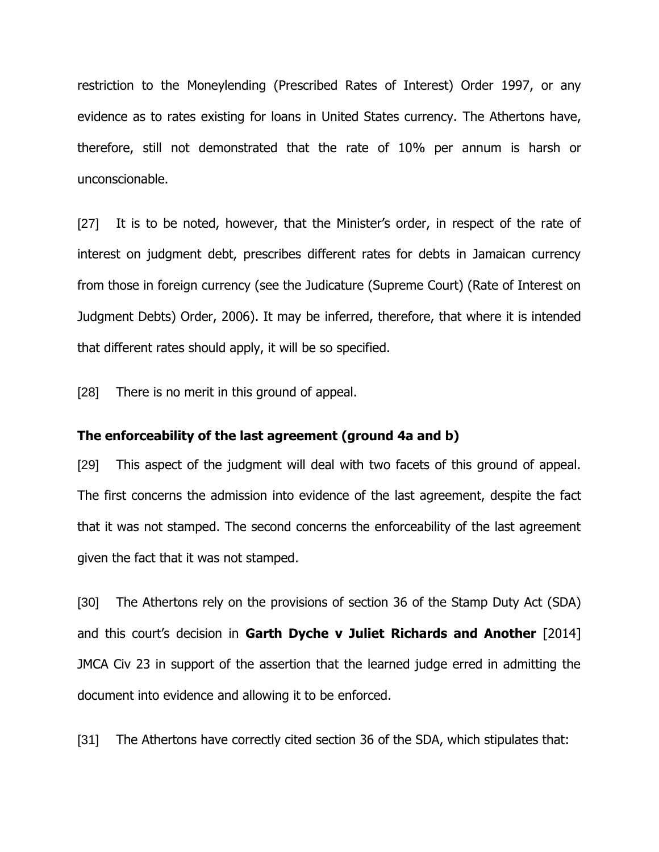restriction to the Moneylending (Prescribed Rates of Interest) Order 1997, or any evidence as to rates existing for loans in United States currency. The Athertons have, therefore, still not demonstrated that the rate of 10% per annum is harsh or unconscionable.

[27] It is to be noted, however, that the Minister's order, in respect of the rate of interest on judgment debt, prescribes different rates for debts in Jamaican currency from those in foreign currency (see the Judicature (Supreme Court) (Rate of Interest on Judgment Debts) Order, 2006). It may be inferred, therefore, that where it is intended that different rates should apply, it will be so specified.

[28] There is no merit in this ground of appeal.

#### **The enforceability of the last agreement (ground 4a and b)**

[29] This aspect of the judgment will deal with two facets of this ground of appeal. The first concerns the admission into evidence of the last agreement, despite the fact that it was not stamped. The second concerns the enforceability of the last agreement given the fact that it was not stamped.

[30] The Athertons rely on the provisions of section 36 of the Stamp Duty Act (SDA) and this court's decision in **Garth Dyche v Juliet Richards and Another** [2014] JMCA Civ 23 in support of the assertion that the learned judge erred in admitting the document into evidence and allowing it to be enforced.

[31] The Athertons have correctly cited section 36 of the SDA, which stipulates that: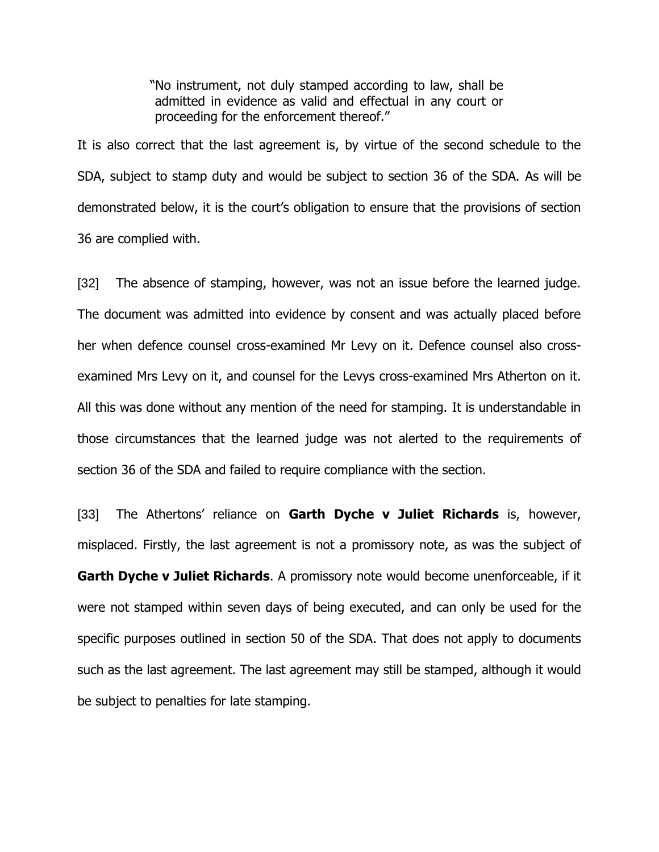"No instrument, not duly stamped according to law, shall be admitted in evidence as valid and effectual in any court or proceeding for the enforcement thereof."

It is also correct that the last agreement is, by virtue of the second schedule to the SDA, subject to stamp duty and would be subject to section 36 of the SDA. As will be demonstrated below, it is the court's obligation to ensure that the provisions of section 36 are complied with.

[32] The absence of stamping, however, was not an issue before the learned judge. The document was admitted into evidence by consent and was actually placed before her when defence counsel cross-examined Mr Levy on it. Defence counsel also crossexamined Mrs Levy on it, and counsel for the Levys cross-examined Mrs Atherton on it. All this was done without any mention of the need for stamping. It is understandable in those circumstances that the learned judge was not alerted to the requirements of section 36 of the SDA and failed to require compliance with the section.

[33] The Athertons' reliance on **Garth Dyche v Juliet Richards** is, however, misplaced. Firstly, the last agreement is not a promissory note, as was the subject of **Garth Dyche v Juliet Richards**. A promissory note would become unenforceable, if it were not stamped within seven days of being executed, and can only be used for the specific purposes outlined in section 50 of the SDA. That does not apply to documents such as the last agreement. The last agreement may still be stamped, although it would be subject to penalties for late stamping.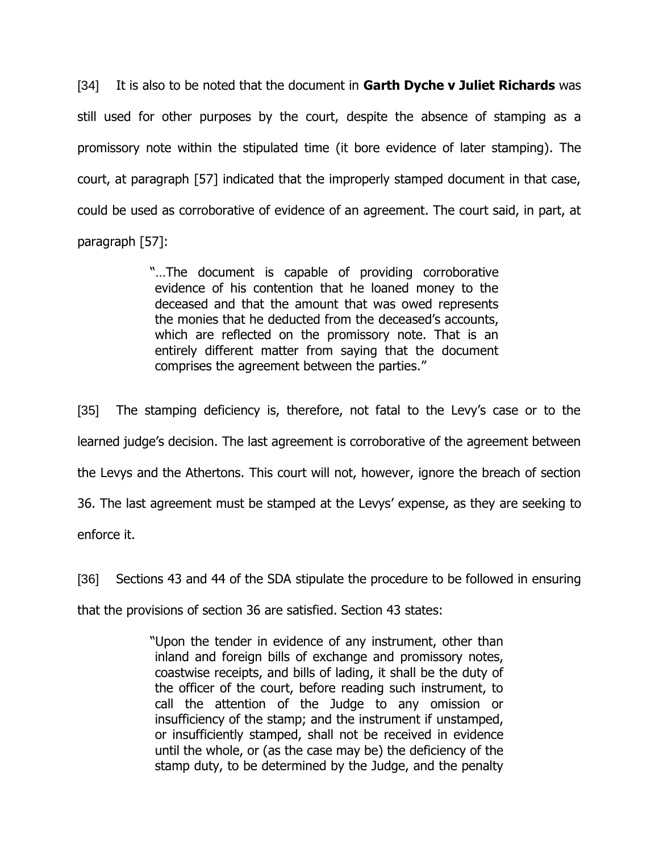[34] It is also to be noted that the document in **Garth Dyche v Juliet Richards** was still used for other purposes by the court, despite the absence of stamping as a promissory note within the stipulated time (it bore evidence of later stamping). The court, at paragraph [57] indicated that the improperly stamped document in that case, could be used as corroborative of evidence of an agreement. The court said, in part, at paragraph [57]:

> "…The document is capable of providing corroborative evidence of his contention that he loaned money to the deceased and that the amount that was owed represents the monies that he deducted from the deceased's accounts, which are reflected on the promissory note. That is an entirely different matter from saying that the document comprises the agreement between the parties."

[35] The stamping deficiency is, therefore, not fatal to the Levy's case or to the learned judge's decision. The last agreement is corroborative of the agreement between the Levys and the Athertons. This court will not, however, ignore the breach of section 36. The last agreement must be stamped at the Levys' expense, as they are seeking to enforce it.

[36] Sections 43 and 44 of the SDA stipulate the procedure to be followed in ensuring that the provisions of section 36 are satisfied. Section 43 states:

> "Upon the tender in evidence of any instrument, other than inland and foreign bills of exchange and promissory notes, coastwise receipts, and bills of lading, it shall be the duty of the officer of the court, before reading such instrument, to call the attention of the Judge to any omission or insufficiency of the stamp; and the instrument if unstamped, or insufficiently stamped, shall not be received in evidence until the whole, or (as the case may be) the deficiency of the stamp duty, to be determined by the Judge, and the penalty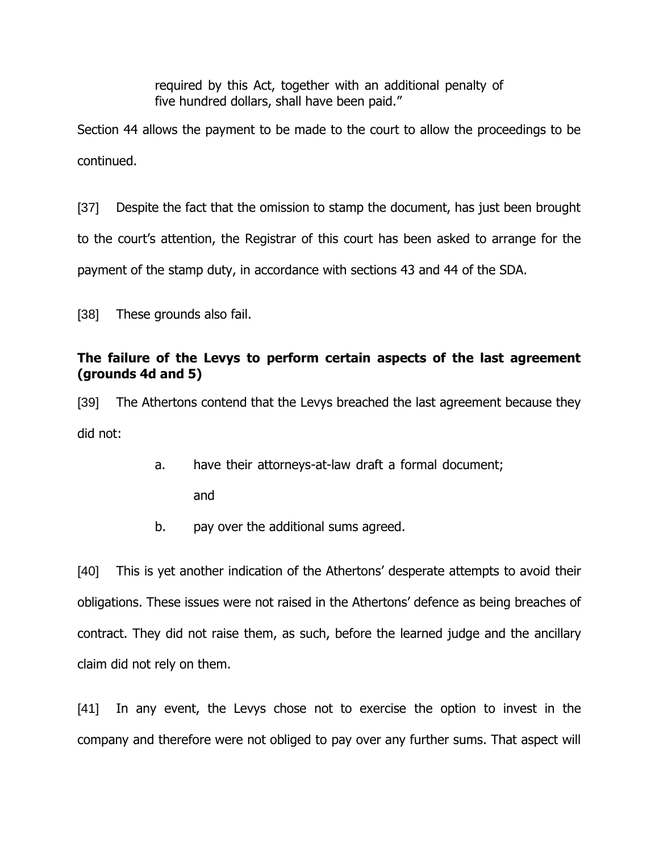required by this Act, together with an additional penalty of five hundred dollars, shall have been paid."

Section 44 allows the payment to be made to the court to allow the proceedings to be continued.

[37] Despite the fact that the omission to stamp the document, has just been brought to the court's attention, the Registrar of this court has been asked to arrange for the payment of the stamp duty, in accordance with sections 43 and 44 of the SDA.

[38] These grounds also fail.

# **The failure of the Levys to perform certain aspects of the last agreement (grounds 4d and 5)**

[39] The Athertons contend that the Levys breached the last agreement because they did not:

- a. have their attorneys-at-law draft a formal document; and
- b. pay over the additional sums agreed.

[40] This is yet another indication of the Athertons' desperate attempts to avoid their obligations. These issues were not raised in the Athertons' defence as being breaches of contract. They did not raise them, as such, before the learned judge and the ancillary claim did not rely on them.

[41] In any event, the Levys chose not to exercise the option to invest in the company and therefore were not obliged to pay over any further sums. That aspect will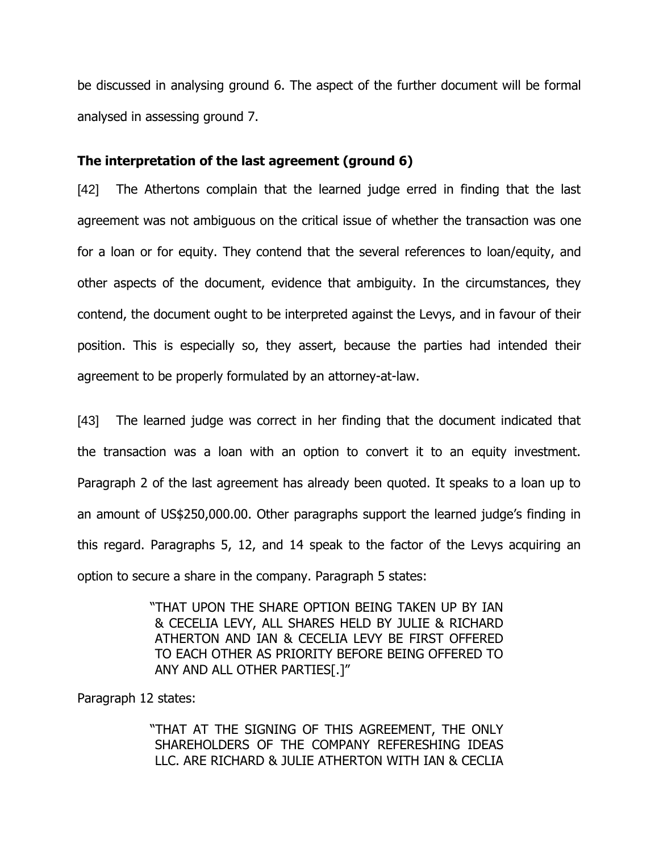be discussed in analysing ground 6. The aspect of the further document will be formal analysed in assessing ground 7.

## **The interpretation of the last agreement (ground 6)**

[42] The Athertons complain that the learned judge erred in finding that the last agreement was not ambiguous on the critical issue of whether the transaction was one for a loan or for equity. They contend that the several references to loan/equity, and other aspects of the document, evidence that ambiguity. In the circumstances, they contend, the document ought to be interpreted against the Levys, and in favour of their position. This is especially so, they assert, because the parties had intended their agreement to be properly formulated by an attorney-at-law.

[43] The learned judge was correct in her finding that the document indicated that the transaction was a loan with an option to convert it to an equity investment. Paragraph 2 of the last agreement has already been quoted. It speaks to a loan up to an amount of US\$250,000.00. Other paragraphs support the learned judge's finding in this regard. Paragraphs 5, 12, and 14 speak to the factor of the Levys acquiring an option to secure a share in the company. Paragraph 5 states:

> "THAT UPON THE SHARE OPTION BEING TAKEN UP BY IAN & CECELIA LEVY, ALL SHARES HELD BY JULIE & RICHARD ATHERTON AND IAN & CECELIA LEVY BE FIRST OFFERED TO EACH OTHER AS PRIORITY BEFORE BEING OFFERED TO ANY AND ALL OTHER PARTIES[.]"

Paragraph 12 states:

"THAT AT THE SIGNING OF THIS AGREEMENT, THE ONLY SHAREHOLDERS OF THE COMPANY REFERESHING IDEAS LLC. ARE RICHARD & JULIF ATHERTON WITH IAN & CECLIA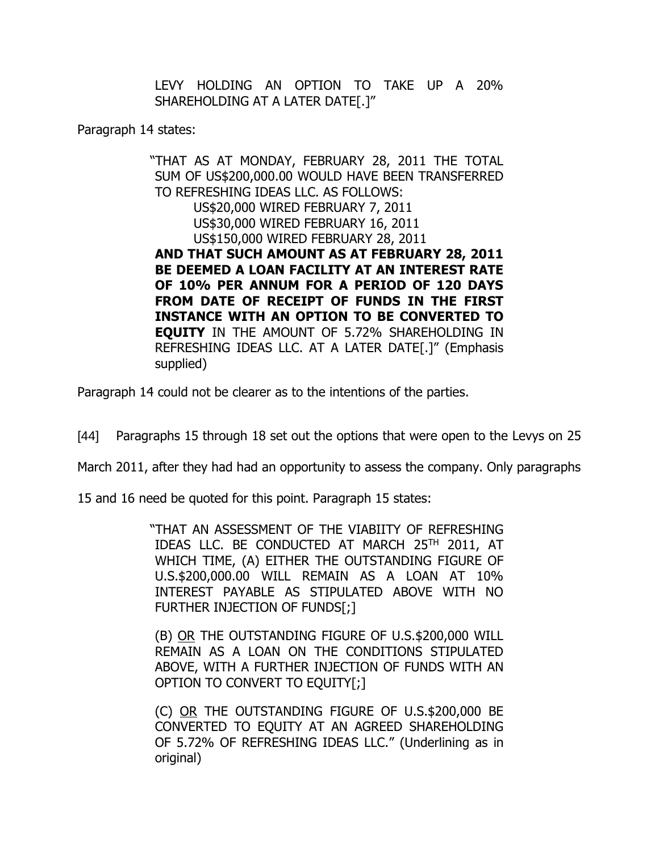LEVY HOLDING AN OPTION TO TAKE UP A 20% SHAREHOLDING AT A LATER DATE[.]"

Paragraph 14 states:

"THAT AS AT MONDAY, FEBRUARY 28, 2011 THE TOTAL SUM OF US\$200,000.00 WOULD HAVE BEEN TRANSFERRED TO REFRESHING IDEAS LLC. AS FOLLOWS: US\$20,000 WIRED FEBRUARY 7, 2011 US\$30,000 WIRED FEBRUARY 16, 2011 US\$150,000 WIRED FEBRUARY 28, 2011 **AND THAT SUCH AMOUNT AS AT FEBRUARY 28, 2011 BE DEEMED A LOAN FACILITY AT AN INTEREST RATE OF 10% PER ANNUM FOR A PERIOD OF 120 DAYS FROM DATE OF RECEIPT OF FUNDS IN THE FIRST INSTANCE WITH AN OPTION TO BE CONVERTED TO EQUITY** IN THE AMOUNT OF 5.72% SHAREHOLDING IN REFRESHING IDEAS LLC. AT A LATER DATE[.]" (Emphasis supplied)

Paragraph 14 could not be clearer as to the intentions of the parties.

[44] Paragraphs 15 through 18 set out the options that were open to the Levys on 25

March 2011, after they had had an opportunity to assess the company. Only paragraphs

15 and 16 need be quoted for this point. Paragraph 15 states:

"THAT AN ASSESSMENT OF THE VIABIITY OF REFRESHING IDEAS LLC. BE CONDUCTED AT MARCH 25 TH 2011, AT WHICH TIME, (A) EITHER THE OUTSTANDING FIGURE OF U.S.\$200,000.00 WILL REMAIN AS A LOAN AT 10% INTEREST PAYABLE AS STIPULATED ABOVE WITH NO FURTHER INJECTION OF FUNDS[;]

(B) OR THE OUTSTANDING FIGURE OF U.S.\$200,000 WILL REMAIN AS A LOAN ON THE CONDITIONS STIPULATED ABOVE, WITH A FURTHER INJECTION OF FUNDS WITH AN OPTION TO CONVERT TO EQUITY[;]

(C) OR THE OUTSTANDING FIGURE OF U.S.\$200,000 BE CONVERTED TO EQUITY AT AN AGREED SHAREHOLDING OF 5.72% OF REFRESHING IDEAS LLC." (Underlining as in original)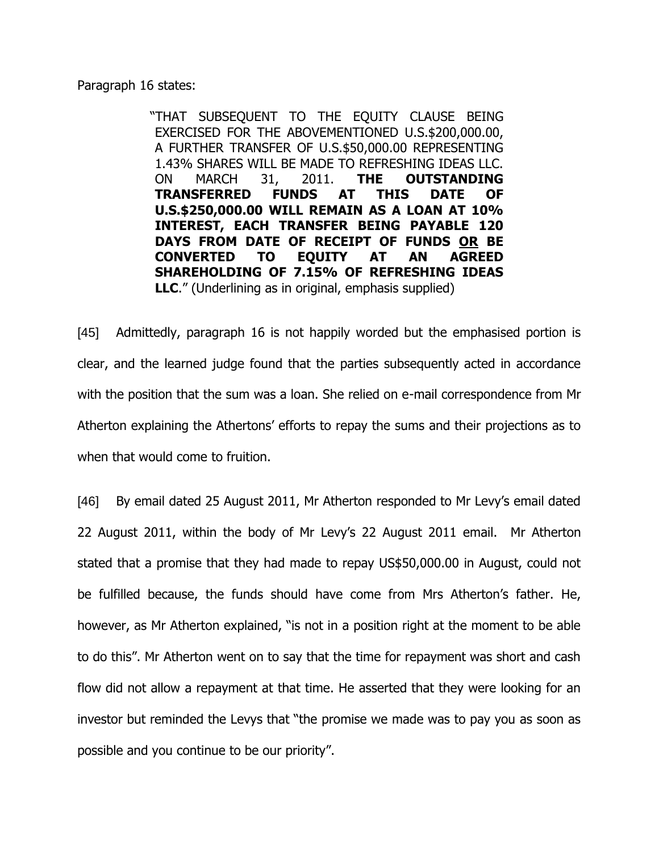Paragraph 16 states:

"THAT SUBSEQUENT TO THE EQUITY CLAUSE BEING EXERCISED FOR THE ABOVEMENTIONED U.S.\$200,000.00, A FURTHER TRANSFER OF U.S.\$50,000.00 REPRESENTING 1.43% SHARES WILL BE MADE TO REFRESHING IDEAS LLC. ON MARCH 31, 2011. **THE OUTSTANDING TRANSFERRED FUNDS AT THIS DATE OF U.S.\$250,000.00 WILL REMAIN AS A LOAN AT 10% INTEREST, EACH TRANSFER BEING PAYABLE 120 DAYS FROM DATE OF RECEIPT OF FUNDS OR BE CONVERTED TO EQUITY AT AN AGREED SHAREHOLDING OF 7.15% OF REFRESHING IDEAS LLC**." (Underlining as in original, emphasis supplied)

[45] Admittedly, paragraph 16 is not happily worded but the emphasised portion is clear, and the learned judge found that the parties subsequently acted in accordance with the position that the sum was a loan. She relied on e-mail correspondence from Mr Atherton explaining the Athertons' efforts to repay the sums and their projections as to when that would come to fruition.

[46] By email dated 25 August 2011, Mr Atherton responded to Mr Levy's email dated 22 August 2011, within the body of Mr Levy's 22 August 2011 email. Mr Atherton stated that a promise that they had made to repay US\$50,000.00 in August, could not be fulfilled because, the funds should have come from Mrs Atherton's father. He, however, as Mr Atherton explained, "is not in a position right at the moment to be able to do this". Mr Atherton went on to say that the time for repayment was short and cash flow did not allow a repayment at that time. He asserted that they were looking for an investor but reminded the Levys that "the promise we made was to pay you as soon as possible and you continue to be our priority".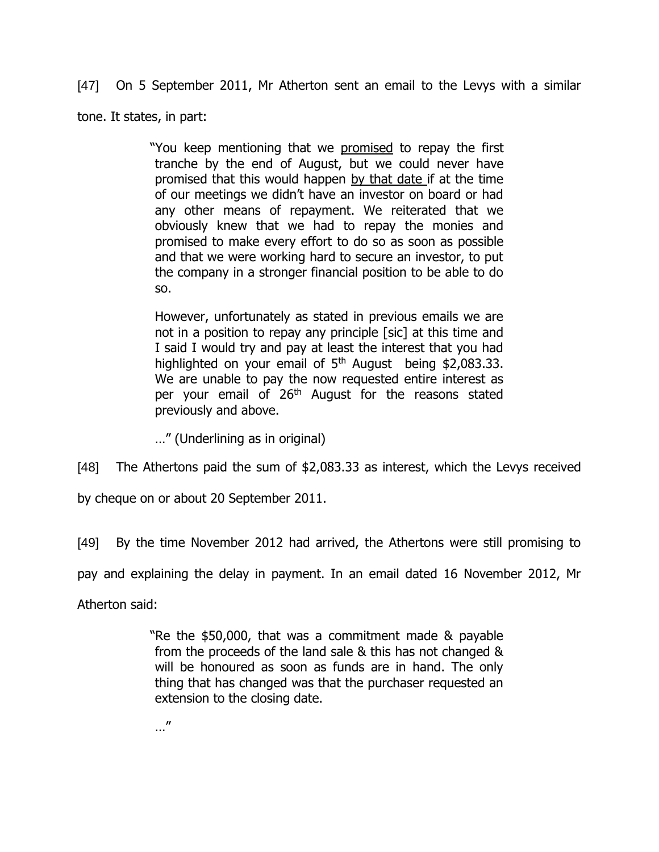[47] On 5 September 2011, Mr Atherton sent an email to the Levys with a similar

tone. It states, in part:

"You keep mentioning that we promised to repay the first tranche by the end of August, but we could never have promised that this would happen by that date if at the time of our meetings we didn't have an investor on board or had any other means of repayment. We reiterated that we obviously knew that we had to repay the monies and promised to make every effort to do so as soon as possible and that we were working hard to secure an investor, to put the company in a stronger financial position to be able to do so.

However, unfortunately as stated in previous emails we are not in a position to repay any principle [sic] at this time and I said I would try and pay at least the interest that you had highlighted on your email of  $5<sup>th</sup>$  August being \$2,083.33. We are unable to pay the now requested entire interest as per your email of 26<sup>th</sup> August for the reasons stated previously and above.

…" (Underlining as in original)

[48] The Athertons paid the sum of \$2,083.33 as interest, which the Levys received

by cheque on or about 20 September 2011.

[49] By the time November 2012 had arrived, the Athertons were still promising to

pay and explaining the delay in payment. In an email dated 16 November 2012, Mr

Atherton said:

"Re the \$50,000, that was a commitment made & payable from the proceeds of the land sale & this has not changed & will be honoured as soon as funds are in hand. The only thing that has changed was that the purchaser requested an extension to the closing date.

…"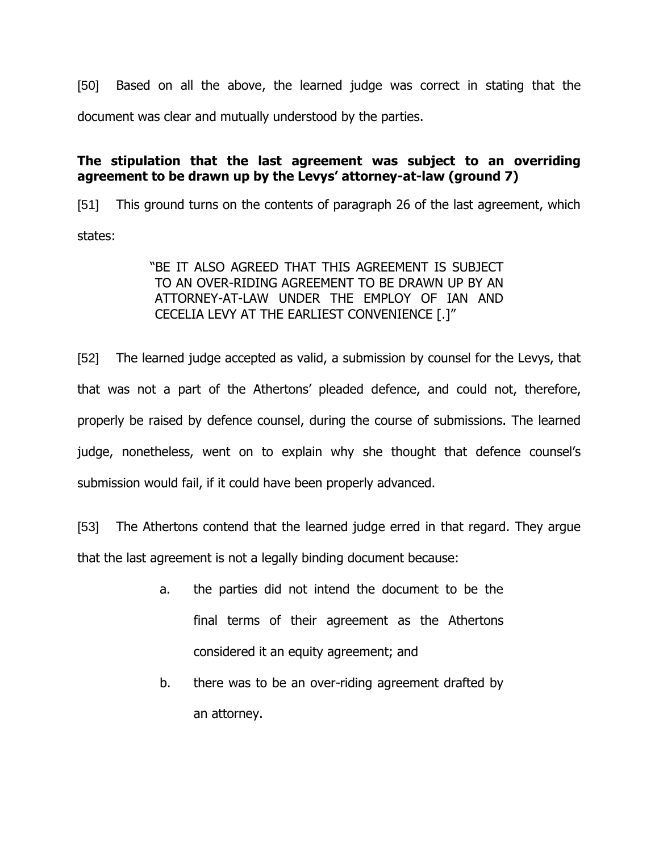[50] Based on all the above, the learned judge was correct in stating that the document was clear and mutually understood by the parties.

# **The stipulation that the last agreement was subject to an overriding agreement to be drawn up by the Levys' attorney-at-law (ground 7)**

[51] This ground turns on the contents of paragraph 26 of the last agreement, which states:

> "BE IT ALSO AGREED THAT THIS AGREEMENT IS SUBJECT TO AN OVER-RIDING AGREEMENT TO BE DRAWN UP BY AN ATTORNEY-AT-LAW UNDER THE EMPLOY OF IAN AND CECELIA LEVY AT THE EARLIEST CONVENIENCE [.]"

[52] The learned judge accepted as valid, a submission by counsel for the Levys, that that was not a part of the Athertons' pleaded defence, and could not, therefore, properly be raised by defence counsel, during the course of submissions. The learned judge, nonetheless, went on to explain why she thought that defence counsel's submission would fail, if it could have been properly advanced.

[53] The Athertons contend that the learned judge erred in that regard. They argue that the last agreement is not a legally binding document because:

- a. the parties did not intend the document to be the final terms of their agreement as the Athertons considered it an equity agreement; and
- b. there was to be an over-riding agreement drafted by an attorney.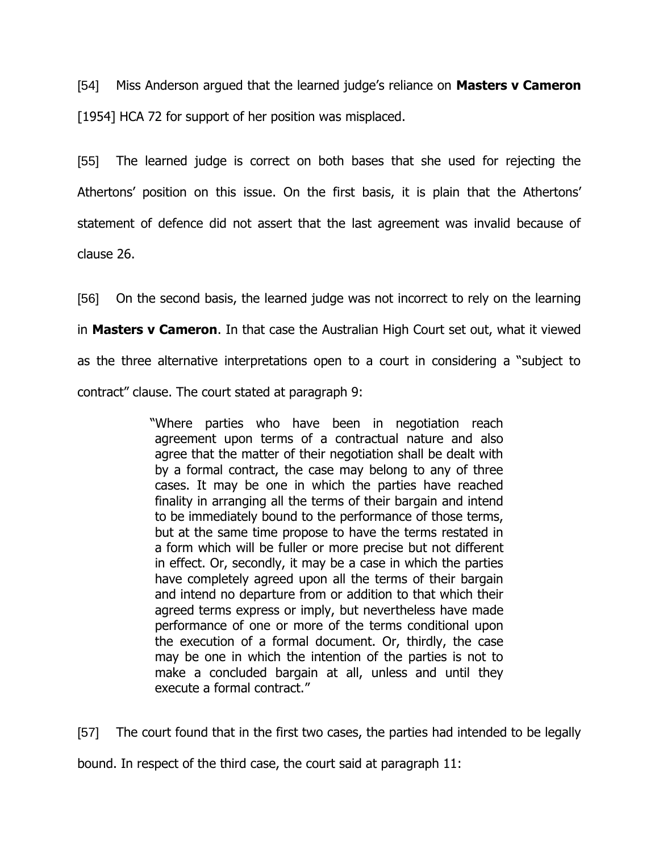[54] Miss Anderson argued that the learned judge's reliance on **Masters v Cameron** [1954] HCA 72 for support of her position was misplaced.

[55] The learned judge is correct on both bases that she used for rejecting the Athertons' position on this issue. On the first basis, it is plain that the Athertons' statement of defence did not assert that the last agreement was invalid because of clause 26.

[56] On the second basis, the learned judge was not incorrect to rely on the learning in **Masters v Cameron**. In that case the Australian High Court set out, what it viewed as the three alternative interpretations open to a court in considering a "subject to contract" clause. The court stated at paragraph 9:

> "Where parties who have been in negotiation reach agreement upon terms of a contractual nature and also agree that the matter of their negotiation shall be dealt with by a formal contract, the case may belong to any of three cases. It may be one in which the parties have reached finality in arranging all the terms of their bargain and intend to be immediately bound to the performance of those terms, but at the same time propose to have the terms restated in a form which will be fuller or more precise but not different in effect. Or, secondly, it may be a case in which the parties have completely agreed upon all the terms of their bargain and intend no departure from or addition to that which their agreed terms express or imply, but nevertheless have made performance of one or more of the terms conditional upon the execution of a formal document. Or, thirdly, the case may be one in which the intention of the parties is not to make a concluded bargain at all, unless and until they execute a formal contract."

[57] The court found that in the first two cases, the parties had intended to be legally bound. In respect of the third case, the court said at paragraph 11: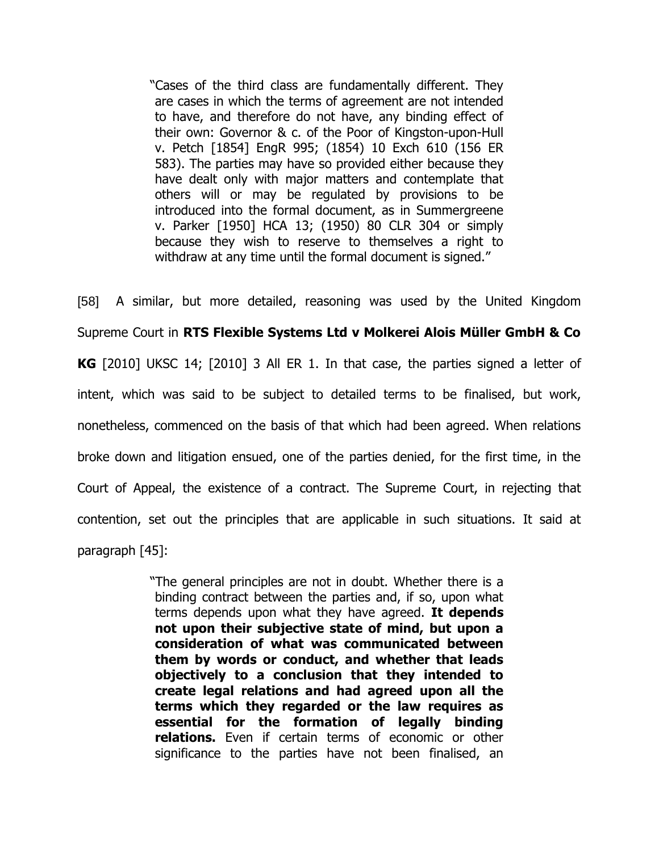"Cases of the third class are fundamentally different. They are cases in which the terms of agreement are not intended to have, and therefore do not have, any binding effect of their own: Governor & c. of the Poor of Kingston-upon-Hull v. Petch [1854] EngR 995; (1854) 10 Exch 610 (156 ER 583). The parties may have so provided either because they have dealt only with major matters and contemplate that others will or may be regulated by provisions to be introduced into the formal document, as in Summergreene v. Parker [1950] HCA 13; (1950) 80 CLR 304 or simply because they wish to reserve to themselves a right to withdraw at any time until the formal document is signed."

[58] A similar, but more detailed, reasoning was used by the United Kingdom Supreme Court in **RTS Flexible Systems Ltd v Molkerei Alois Müller GmbH & Co KG** [2010] UKSC 14; [2010] 3 All ER 1. In that case, the parties signed a letter of intent, which was said to be subject to detailed terms to be finalised, but work, nonetheless, commenced on the basis of that which had been agreed. When relations broke down and litigation ensued, one of the parties denied, for the first time, in the Court of Appeal, the existence of a contract. The Supreme Court, in rejecting that contention, set out the principles that are applicable in such situations. It said at paragraph [45]:

> "The general principles are not in doubt. Whether there is a binding contract between the parties and, if so, upon what terms depends upon what they have agreed. **It depends not upon their subjective state of mind, but upon a consideration of what was communicated between them by words or conduct, and whether that leads objectively to a conclusion that they intended to create legal relations and had agreed upon all the terms which they regarded or the law requires as essential for the formation of legally binding relations.** Even if certain terms of economic or other significance to the parties have not been finalised, an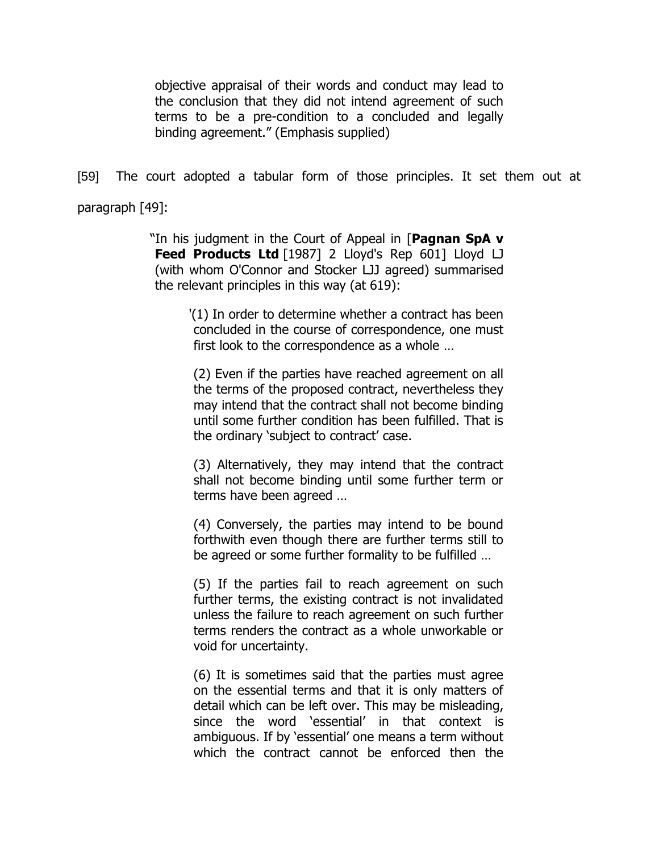objective appraisal of their words and conduct may lead to the conclusion that they did not intend agreement of such terms to be a pre-condition to a concluded and legally binding agreement." (Emphasis supplied)

[59] The court adopted a tabular form of those principles. It set them out at

paragraph [49]:

"In his judgment in the Court of Appeal in [**Pagnan SpA v**  Feed Products Ltd [1987] 2 Lloyd's Rep 601] Lloyd LJ (with whom O'Connor and Stocker LJJ agreed) summarised the relevant principles in this way (at 619):

> '(1) In order to determine whether a contract has been concluded in the course of correspondence, one must first look to the correspondence as a whole …

(2) Even if the parties have reached agreement on all the terms of the proposed contract, nevertheless they may intend that the contract shall not become binding until some further condition has been fulfilled. That is the ordinary 'subject to contract' case.

(3) Alternatively, they may intend that the contract shall not become binding until some further term or terms have been agreed …

(4) Conversely, the parties may intend to be bound forthwith even though there are further terms still to be agreed or some further formality to be fulfilled …

(5) If the parties fail to reach agreement on such further terms, the existing contract is not invalidated unless the failure to reach agreement on such further terms renders the contract as a whole unworkable or void for uncertainty.

(6) It is sometimes said that the parties must agree on the essential terms and that it is only matters of detail which can be left over. This may be misleading, since the word 'essential' in that context is ambiguous. If by 'essential' one means a term without which the contract cannot be enforced then the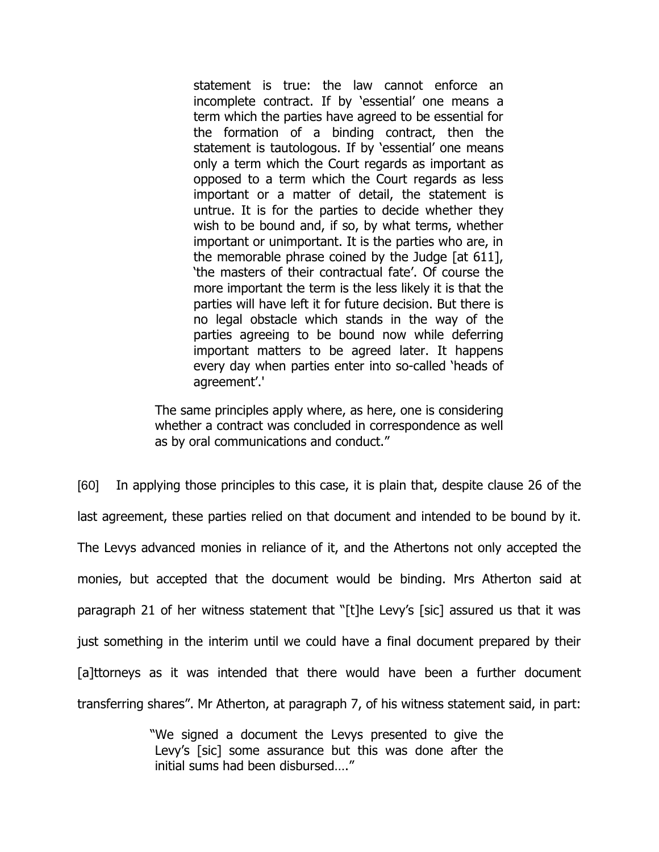statement is true: the law cannot enforce an incomplete contract. If by 'essential' one means a term which the parties have agreed to be essential for the formation of a binding contract, then the statement is tautologous. If by 'essential' one means only a term which the Court regards as important as opposed to a term which the Court regards as less important or a matter of detail, the statement is untrue. It is for the parties to decide whether they wish to be bound and, if so, by what terms, whether important or unimportant. It is the parties who are, in the memorable phrase coined by the Judge [at 611], 'the masters of their contractual fate'. Of course the more important the term is the less likely it is that the parties will have left it for future decision. But there is no legal obstacle which stands in the way of the parties agreeing to be bound now while deferring important matters to be agreed later. It happens every day when parties enter into so-called 'heads of agreement'.'

The same principles apply where, as here, one is considering whether a contract was concluded in correspondence as well as by oral communications and conduct."

[60] In applying those principles to this case, it is plain that, despite clause 26 of the last agreement, these parties relied on that document and intended to be bound by it. The Levys advanced monies in reliance of it, and the Athertons not only accepted the monies, but accepted that the document would be binding. Mrs Atherton said at paragraph 21 of her witness statement that "[t]he Levy's [sic] assured us that it was just something in the interim until we could have a final document prepared by their [a]ttorneys as it was intended that there would have been a further document transferring shares". Mr Atherton, at paragraph 7, of his witness statement said, in part:

> "We signed a document the Levys presented to give the Levy's [sic] some assurance but this was done after the initial sums had been disbursed…."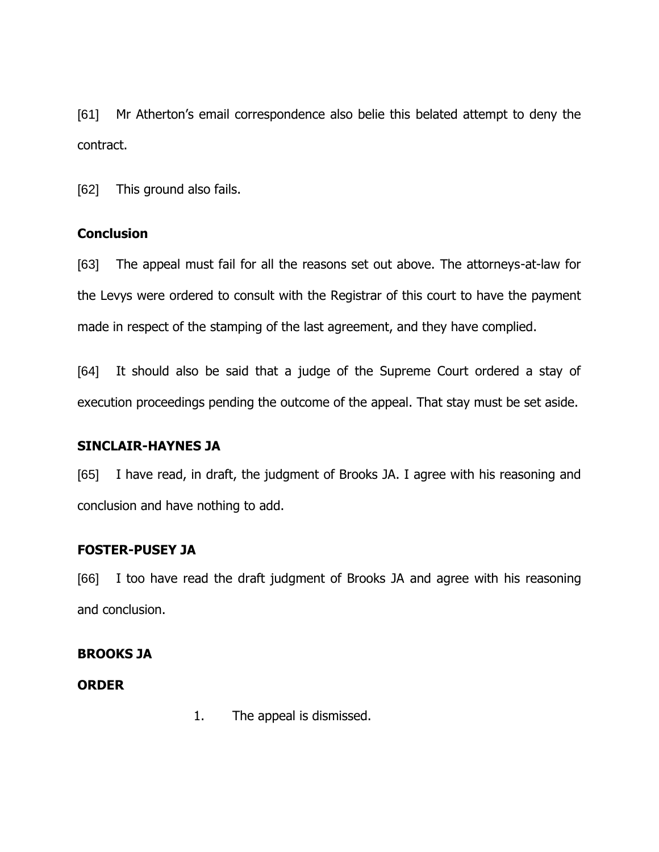[61] Mr Atherton's email correspondence also belie this belated attempt to deny the contract.

[62] This ground also fails.

## **Conclusion**

[63] The appeal must fail for all the reasons set out above. The attorneys-at-law for the Levys were ordered to consult with the Registrar of this court to have the payment made in respect of the stamping of the last agreement, and they have complied.

[64] It should also be said that a judge of the Supreme Court ordered a stay of execution proceedings pending the outcome of the appeal. That stay must be set aside.

## **SINCLAIR-HAYNES JA**

[65] I have read, in draft, the judgment of Brooks JA. I agree with his reasoning and conclusion and have nothing to add.

# **FOSTER-PUSEY JA**

[66] I too have read the draft judgment of Brooks JA and agree with his reasoning and conclusion.

## **BROOKS JA**

## **ORDER**

1. The appeal is dismissed.